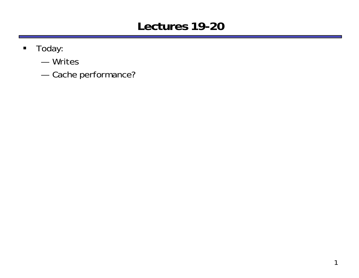## **Lectures 19-20**

- $\blacksquare$  Today:
	- Writes
	- —Cache performance?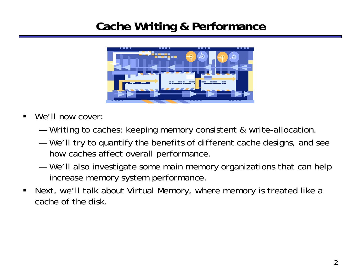## **Cache Writing & Performance**



- $\blacksquare$ We'll now cover:
	- Writing to caches: keeping memory consistent & write-allocation.
	- — We'll try to quantify the benefits of different cache designs, and see how caches affect overall performance.
	- — We'll also investigate some main memory organizations that can help increase memory system performance.
- $\blacksquare$  Next, we'll talk about Virtual Memory, where memory is treated like a cache of the disk.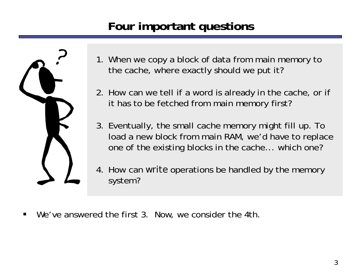# **Four important questions**



- 1. When we copy a block of data from main memory to the cache, where exactly should we put it?
- 2. How can we tell if a word is already in the cache, or if it has to be fetched from main memory first?
- 3. Eventually, the small cache memory might fill up. To load a new block from main RAM, we'd have to replace one of the existing blocks in the cache... which one?
- 4. How can *write* operations be handled by the memory system?
- $\blacksquare$ We've answered the first 3. Now, we consider the 4th.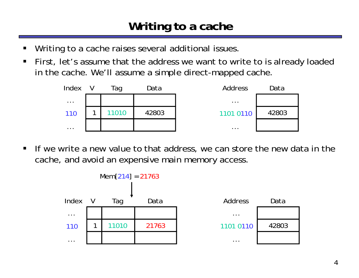- ш Writing to a cache raises several additional issues.
- $\blacksquare$  First, let's assume that the address we want to write to is already loaded in the cache. We'll assume a simple direct-mapped cache.



 $\blacksquare$  If we write a new value to that address, we can store the new data in the cache, and avoid an expensive main memory access.

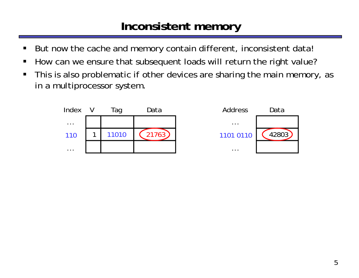## **Inconsistent memory**

- $\blacksquare$ But now the cache and memory contain different, inconsistent data!
- $\blacksquare$ How can we ensure that subsequent loads will return the right value?
- $\blacksquare$  This is also problematic if other devices are sharing the main memory, as in a multiprocessor system.

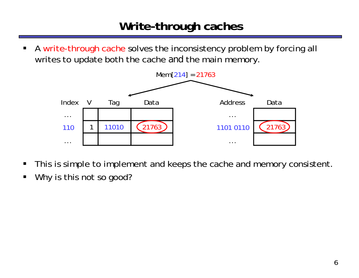## **Write-through caches**

 $\blacksquare$  A write-through cache solves the inconsistency problem by forcing all writes to update both the cache *and* the main memory.



- $\blacksquare$ This is simple to implement and keeps the cache and memory consistent.
- $\blacksquare$ Why is this not so good?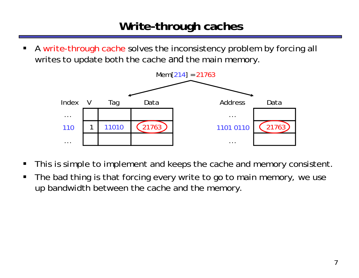## **Write-through caches**

ш A write-through cache solves the inconsistency problem by forcing all writes to update both the cache *and* the main memory.



- $\blacksquare$ This is simple to implement and keeps the cache and memory consistent.
- $\blacksquare$  The bad thing is that forcing every write to go to main memory, we use up bandwidth between the cache and the memory.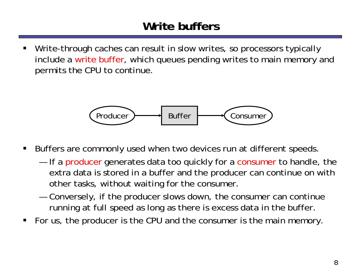## **Write buffers**

ш Write-through caches can result in slow writes, so processors typically include a write buffer, which queues pending writes to main memory and permits the CPU to continue.



- $\blacksquare$  Buffers are commonly used when two devices run at different speeds.
	- —If a producer generates data too quickly for a consumer to handle, the extra data is stored in a buffer and the producer can continue on with other tasks, without waiting for the consumer.
	- — Conversely, if the producer slows down, the consumer can continue running at full speed as long as there is excess data in the buffer.
- п For us, the producer is the CPU and the consumer is the main memory.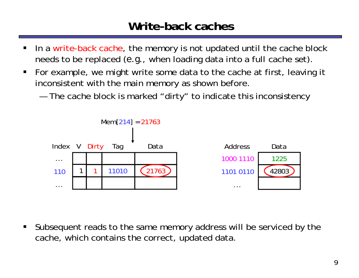### **Write-back caches**

- П In a write-back cache, the memory is not updated until the cache block needs to be replaced (*e.g.*, when loading data into a full cache set).
- $\blacksquare$  For example, we might write some data to the cache at first, leaving it inconsistent with the main memory as shown before.
	- —The cache block is marked "dirty" to indicate this inconsistency



 $\blacksquare$  Subsequent reads to the same memory address will be serviced by the cache, which contains the correct, updated data.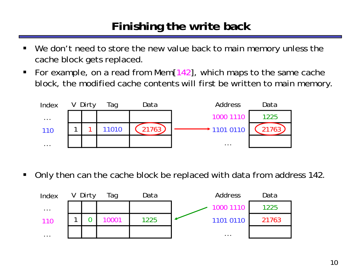## **Finishing the write back**

- $\blacksquare$ We don't need to store the new value back to main memory unless the cache block gets replaced.
- $\blacksquare$  For example, on a read from Mem[142], which maps to the same cache block, the modified cache contents will first be written to main memory.



 $\blacksquare$ Only then can the cache block be replaced with data from address 142.

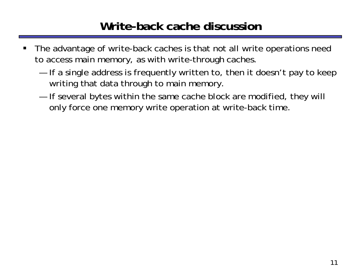## **Write-back cache discussion**

- $\blacksquare$  The advantage of write-back caches is that not all write operations need to access main memory, as with write-through caches.
	- If a single address is frequently written to, then it doesn't pay to keep writing that data through to main memory.
	- — If several bytes within the same cache block are modified, they will only force one memory write operation at write-back time.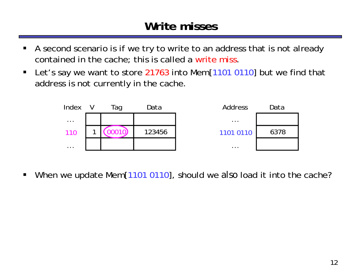## **Write misses**

- $\blacksquare$  A second scenario is if we try to write to an address that is not already contained in the cache; this is called a write miss.
- $\blacksquare$  Let's say we want to store 21763 into Mem[1101 0110] but we find that address is not currently in the cache.



 $\blacksquare$ When we update Mem[1101 0110], should we *also* load it into the cache?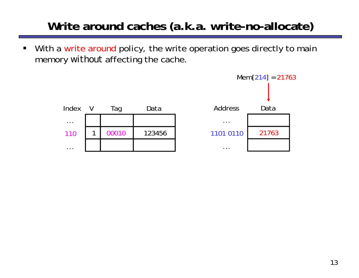# **Write around caches (a.k.a. write-no-allocate)**

 $\blacksquare$  With a write around policy, the write operation goes directly to main memory *without* affecting the cache.

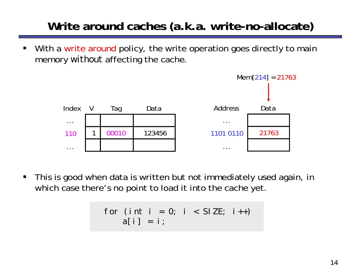# **Write around caches (a.k.a. write-no-allocate)**

ш With a write around policy, the write operation goes directly to main memory *without* affecting the cache.



 $\blacksquare$  This is good when data is written but not immediately used again, in which case there's no point to load it into the cache yet.

$$
\begin{array}{rcl}\nfor (int i = 0; i < SIZE; i++) \\
a[i] = i;\n\end{array}
$$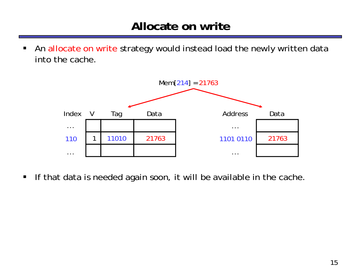$\blacksquare$  An allocate on write strategy would instead load the newly written data into the cache.



 $\blacksquare$ If that data is needed again soon, it will be available in the cache.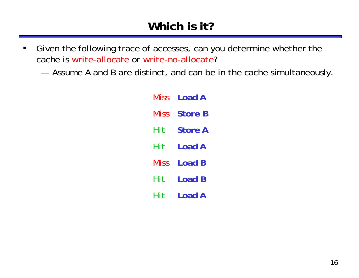- $\blacksquare$  Given the following trace of accesses, can you determine whether the cache is write-allocate or write-no-allocate?
	- Assume A and B are distinct, and can be in the cache simultaneously.

| Miss | Load A         |  |
|------|----------------|--|
| Miss | <b>Store B</b> |  |
| Hit  | <b>Store A</b> |  |
| Hit  | Load A         |  |
| Miss | Load B         |  |
| Hit  | Load B         |  |
| Hit  | Load A         |  |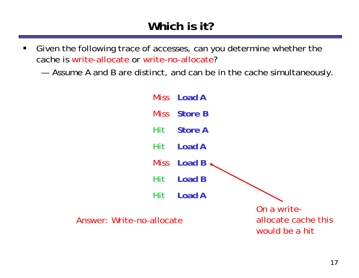- $\blacksquare$  Given the following trace of accesses, can you determine whether the cache is write-allocate or write-no-allocate?
	- Assume A and B are distinct, and can be in the cache simultaneously.

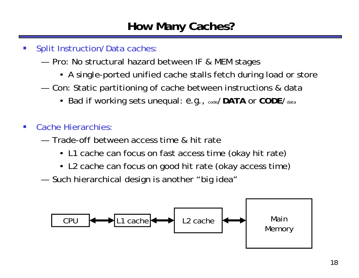- $\left\vert \cdot \right\rangle$  Split Instruction/Data caches:
	- Pro: No structural hazard between IF & MEM stages
		- A single-ported unified cache stalls fetch during load or store
	- — Con: Static partitioning of cache between instructions & data
		- Bad if working sets unequal: *e.g.,* code/**DATA** or **CODE**/data
- $\mathcal{L}_{\mathcal{A}}$  Cache Hierarchies:
	- Trade-off between access time & hit rate
		- L1 cache can focus on fast access time (okay hit rate)
		- L2 cache can focus on good hit rate (okay access time)
	- Such hierarchical design is another "big idea"

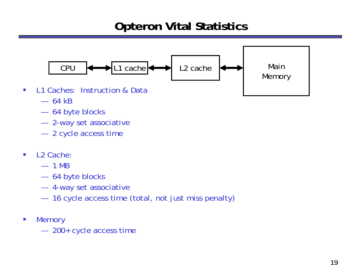## **Opteron Vital Statistics**



— 64 kB

 $\mathcal{L}_{\mathcal{A}}$ 

- 64 byte blocks
- 2-way set associative
- 2 cycle access time
- $\mathcal{C}$  L2 Cache:
	- 1 MB
	- 64 byte blocks
	- 4-way set associative
	- —16 cycle access time (total, not just miss penalty)
- $\mathcal{C}$ **Memory** 
	- 200+ cycle access time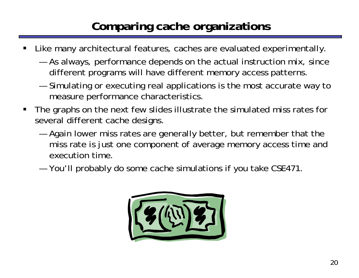# **Comparing cache organizations**

- ш Like many architectural features, caches are evaluated experimentally.
	- As always, performance depends on the actual instruction mix, since different programs will have different memory access patterns.
	- — Simulating or executing real applications is the most accurate way to measure performance characteristics.
- П The graphs on the next few slides illustrate the simulated miss rates for several different cache designs.
	- — Again lower miss rates are generally better, but remember that the miss rate is just one component of average memory access time and execution time.
	- You'll probably do some cache simulations if you take CSE471.

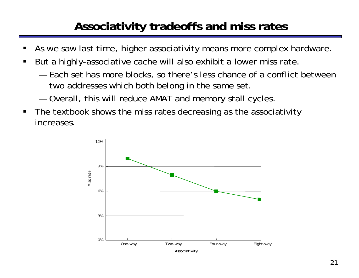# **Associativity tradeoffs and miss rates**

- ш As we saw last time, higher associativity means more complex hardware.
- П But a highly-associative cache will also exhibit a lower miss rate.
	- Each set has more blocks, so there's less chance of a conflict between two addresses which both belong in the same set.
	- —Overall, this will reduce AMAT and memory stall cycles.
- $\blacksquare$  The textbook shows the miss rates decreasing as the associativity increases.

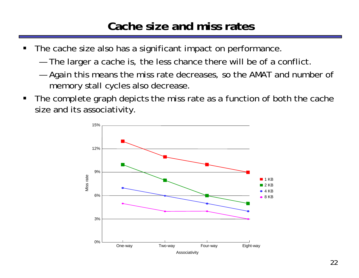### **Cache size and miss rates**

- $\blacksquare$  The cache size also has a significant impact on performance.
	- The larger a cache is, the less chance there will be of a conflict.
	- — Again this means the miss rate decreases, so the AMAT and number of memory stall cycles also decrease.
- $\blacksquare$  The complete graph depicts the miss rate as a function of both the cache size and its associativity.

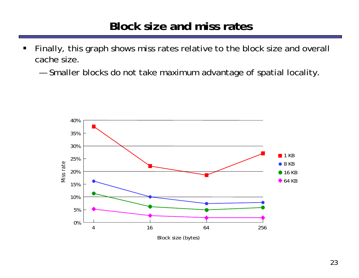#### **Block size and miss rates**

- $\blacksquare$  Finally, this graph shows miss rates relative to the block size and overall cache size.
	- Smaller blocks do not take maximum advantage of spatial locality.

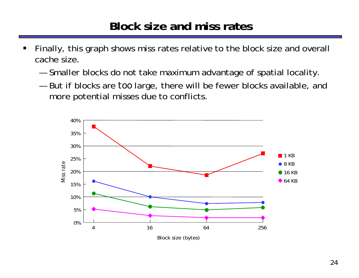### **Block size and miss rates**

- ш Finally, this graph shows miss rates relative to the block size and overall cache size.
	- Smaller blocks do not take maximum advantage of spatial locality.
	- But if blocks are *too* large, there will be fewer blocks available, and more potential misses due to conflicts.

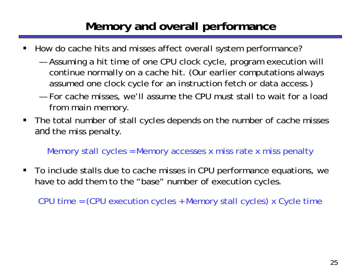# **Memory and overall performance**

- ш How do cache hits and misses affect overall system performance?
	- Assuming a hit time of one CPU clock cycle, program execution will continue normally on a cache hit. (Our earlier computations always assumed one clock cycle for an instruction fetch or data access.)
	- For cache misses, we'll assume the CPU must stall to wait for a load from main memory.
- $\blacksquare$  The total number of stall cycles depends on the number of cache misses *and* the miss penalty.

Memory stall cycles = Memory accesses x miss rate x miss penalty

 $\blacksquare$  To include stalls due to cache misses in CPU performance equations, we have to add them to the "base" number of execution cycles.

CPU time = (CPU execution cycles + Memory stall cycles) x Cycle time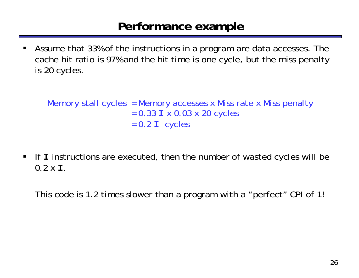#### **Performance example**

ш Assume that 33% of the instructions in a program are data accesses. The cache hit ratio is 97% and the hit time is one cycle, but the miss penalty is 20 cycles.

Memory stall cycles = Memory accesses x Miss rate x Miss penalty = 0.33 **I** x 0.03 x 20 cycles  $= 0.2$  **I** cycles

 $\blacksquare$  If **I** instructions are executed, then the number of wasted cycles will be 0.2 x **I**.

This code is 1.2 times slower than a program with a "perfect" CPI of 1!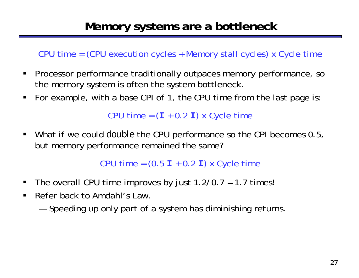CPU time = (CPU execution cycles + Memory stall cycles) x Cycle time

- $\blacksquare$  Processor performance traditionally outpaces memory performance, so the memory system is often the system bottleneck.
- $\blacksquare$ For example, with a base CPI of 1, the CPU time from the last page is:

CPU time = ( **I** + 0.2 **<sup>I</sup>**) x Cycle time

 $\blacksquare$  . What if we could *double* the CPU performance so the CPI becomes 0.5, but memory performance remained the same?

CPU time = (0.5 **I** + 0.2 **<sup>I</sup>**) x Cycle time

- $\blacksquare$ The overall CPU time improves by just  $1.2/0.7 = 1.7$  times!
- $\blacksquare$  Refer back to Amdahl's Law.
	- Speeding up only part of a system has diminishing returns.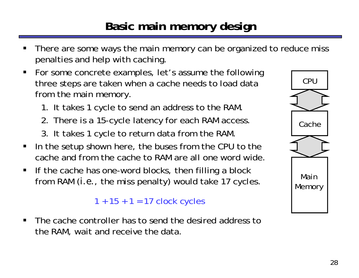## **Basic main memory design**

- ш There are some ways the main memory can be organized to reduce miss penalties and help with caching.
- $\blacksquare$  For some concrete examples, let's assume the following three steps are taken when a cache needs to load data from the main memory.
	- 1. It takes 1 cycle to send an address to the RAM.
	- 2. There is a 15-cycle latency for each RAM access.
	- 3. It takes 1 cycle to return data from the RAM.
- $\blacksquare$  In the setup shown here, the buses from the CPU to the cache and from the cache to RAM are all one word wide.
- $\blacksquare$  If the cache has one-word blocks, then filling a block from RAM (*i.e.*, the miss penalty) would take 17 cycles.

 $1 + 15 + 1 = 17$  clock cycles

п The cache controller has to send the desired address tothe RAM, wait and receive the data.

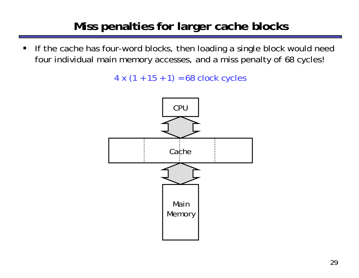# **Miss penalties for larger cache blocks**

 $\blacksquare$  If the cache has four-word blocks, then loading a single block would need four individual main memory accesses, and a miss penalty of 68 cycles!

 $4 \times (1 + 15 + 1) = 68$  clock cycles

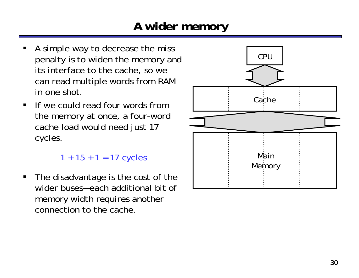# **A wider memory**

- ш A simple way to decrease the miss penalty is to widen the memory and its interface to the cache, so we can read multiple words from RAM in one shot.
- $\blacksquare$  If we could read four words from the memory at once, a four-word cache load would need just 17 cycles.

```
1 + 15 + 1 = 17 cycles
```
 $\blacksquare$  The disadvantage is the cost of the wider buses—each additional bit of memory width requires another connection to the cache.

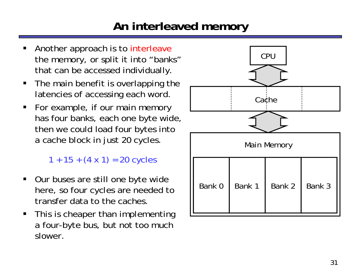## **An interleaved memory**

- ш Another approach is to interleave the memory, or split it into "banks" that can be accessed individually.
- $\blacksquare$  The main benefit is overlapping the latencies of accessing each word.
- $\blacksquare$  For example, if our main memory has four banks, each one byte wide, then we could load four bytes into a cache block in just 20 cycles.

 $1 + 15 + (4 \times 1) = 20$  cycles

- $\blacksquare$  Our buses are still one byte wide here, so four cycles are needed to transfer data to the caches.
- $\blacksquare$  This is cheaper than implementing a four-byte bus, but not too much slower.

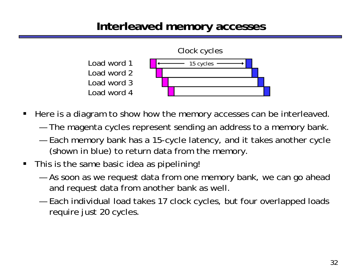### **Interleaved memory accesses**



- $\blacksquare$  Here is a diagram to show how the memory accesses can be interleaved.
	- The magenta cycles represent sending an address to a memory bank.
	- — Each memory bank has a 15-cycle latency, and it takes another cycle (shown in blue) to return data from the memory.
- $\blacksquare$  This is the same basic idea as pipelining!
	- — As soon as we request data from one memory bank, we can go ahead and request data from another bank as well.
	- Each individual load takes 17 clock cycles, but four overlapped loads require just 20 cycles.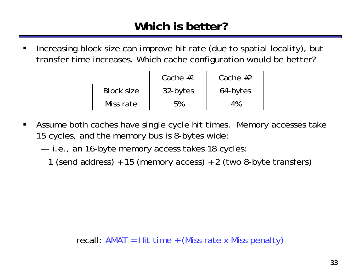$\blacksquare$  Increasing block size can improve hit rate (due to spatial locality), but transfer time increases. Which cache configuration would be better?

|                   | Cache $#1$ | Cache $#2$ |
|-------------------|------------|------------|
| <b>Block size</b> | 32-bytes   | 64-bytes   |
| Miss rate         | 5%         | 4%         |

- $\blacksquare$  Assume both caches have single cycle hit times. Memory accesses take 15 cycles, and the memory bus is 8-bytes wide:
	- i.e., an 16-byte memory access takes 18 cycles
		- 1 (send address) + 15 (memory access) + 2 (two 8-byte transfers)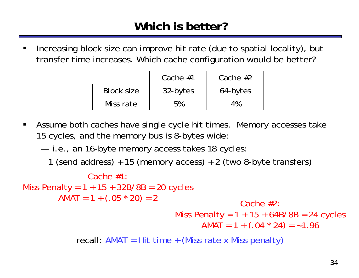$\blacksquare$  Increasing block size can improve hit rate (due to spatial locality), but transfer time increases. Which cache configuration would be better?

|                   | Cache $#1$ | Cache $#2$ |
|-------------------|------------|------------|
| <b>Block size</b> | 32-bytes   | 64-bytes   |
| Miss rate         | 5%         | 4%         |

 $\blacksquare$  Assume both caches have single cycle hit times. Memory accesses take 15 cycles, and the memory bus is 8-bytes wide:

i.e., an 16-byte memory access takes 18 cycles

1 (send address) + 15 (memory access) + 2 (two 8-byte transfers)

```
recall: AMAT = Hit time + (Miss rate x Miss penalty)
              Cache #1:Miss Penalty = 1 + 15 + 32B/8B = 20 cycles
        AMAT = 1 + (.05 * 20) = 2 Cache #2:
                                  Miss Penalty = 1 + 15 + 64B/8B = 24 cycles
                                        AMAT = 1 + (.04 * 24) = ~1.96
```